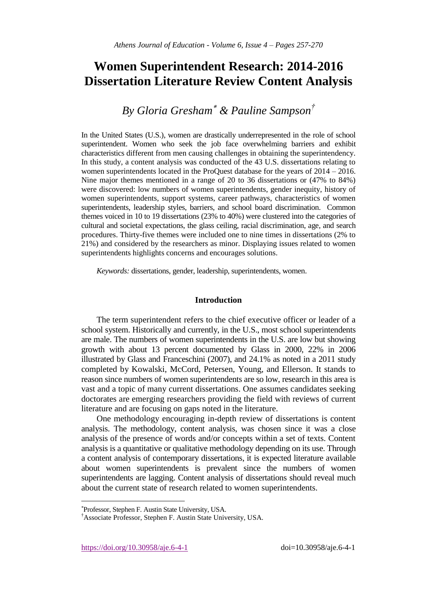# **Women Superintendent Research: 2014-2016 Dissertation Literature Review Content Analysis**

*By Gloria Gresham & Pauline Sampson†*

In the United States (U.S.), women are drastically underrepresented in the role of school superintendent. Women who seek the job face overwhelming barriers and exhibit characteristics different from men causing challenges in obtaining the superintendency. In this study, a content analysis was conducted of the 43 U.S. dissertations relating to women superintendents located in the ProQuest database for the years of 2014 – 2016. Nine major themes mentioned in a range of 20 to 36 dissertations or (47% to 84%) were discovered: low numbers of women superintendents, gender inequity, history of women superintendents, support systems, career pathways, characteristics of women superintendents, leadership styles, barriers, and school board discrimination. Common themes voiced in 10 to 19 dissertations (23% to 40%) were clustered into the categories of cultural and societal expectations, the glass ceiling, racial discrimination, age, and search procedures. Thirty-five themes were included one to nine times in dissertations (2% to 21%) and considered by the researchers as minor. Displaying issues related to women superintendents highlights concerns and encourages solutions.

*Keywords:* dissertations, gender, leadership, superintendents, women.

## **Introduction**

The term superintendent refers to the chief executive officer or leader of a school system. Historically and currently, in the U.S., most school superintendents are male. The numbers of women superintendents in the U.S. are low but showing growth with about 13 percent documented by Glass in 2000, 22% in 2006 illustrated by Glass and Franceschini (2007), and 24.1% as noted in a 2011 study completed by Kowalski, McCord, Petersen, Young, and Ellerson. It stands to reason since numbers of women superintendents are so low, research in this area is vast and a topic of many current dissertations. One assumes candidates seeking doctorates are emerging researchers providing the field with reviews of current literature and are focusing on gaps noted in the literature.

One methodology encouraging in-depth review of dissertations is content analysis. The methodology, content analysis, was chosen since it was a close analysis of the presence of words and/or concepts within a set of texts. Content analysis is a quantitative or qualitative methodology depending on its use. Through a content analysis of contemporary dissertations, it is expected literature available about women superintendents is prevalent since the numbers of women superintendents are lagging. Content analysis of dissertations should reveal much about the current state of research related to women superintendents.

https://doi.org/10.30958/aje.6-4-1 doi=10.30958/aje.6-4-1

 $\overline{a}$ 

Professor, Stephen F. Austin State University, USA.

<sup>†</sup>Associate Professor, Stephen F. Austin State University, USA.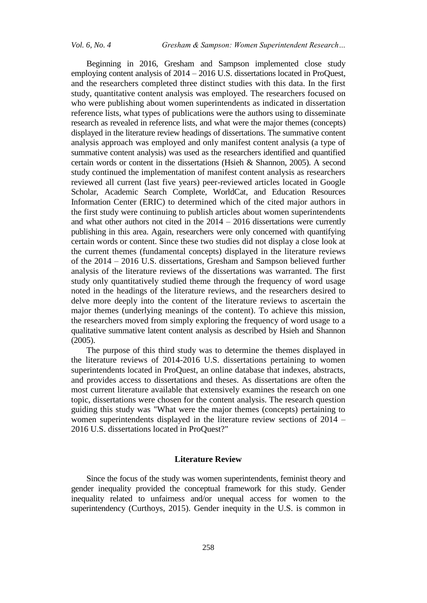Beginning in 2016, Gresham and Sampson implemented close study employing content analysis of 2014 – 2016 U.S. dissertations located in ProQuest, and the researchers completed three distinct studies with this data. In the first study, quantitative content analysis was employed. The researchers focused on who were publishing about women superintendents as indicated in dissertation reference lists, what types of publications were the authors using to disseminate research as revealed in reference lists, and what were the major themes (concepts) displayed in the literature review headings of dissertations. The summative content analysis approach was employed and only manifest content analysis (a type of summative content analysis) was used as the researchers identified and quantified certain words or content in the dissertations (Hsieh & Shannon, 2005). A second study continued the implementation of manifest content analysis as researchers reviewed all current (last five years) peer-reviewed articles located in Google Scholar, Academic Search Complete, WorldCat, and Education Resources Information Center (ERIC) to determined which of the cited major authors in the first study were continuing to publish articles about women superintendents and what other authors not cited in the 2014 – 2016 dissertations were currently publishing in this area. Again, researchers were only concerned with quantifying certain words or content. Since these two studies did not display a close look at the current themes (fundamental concepts) displayed in the literature reviews of the 2014 – 2016 U.S. dissertations, Gresham and Sampson believed further analysis of the literature reviews of the dissertations was warranted. The first study only quantitatively studied theme through the frequency of word usage noted in the headings of the literature reviews, and the researchers desired to delve more deeply into the content of the literature reviews to ascertain the major themes (underlying meanings of the content). To achieve this mission, the researchers moved from simply exploring the frequency of word usage to a qualitative summative latent content analysis as described by Hsieh and Shannon (2005).

The purpose of this third study was to determine the themes displayed in the literature reviews of 2014-2016 U.S. dissertations pertaining to women superintendents located in ProQuest, an online database that indexes, abstracts, and provides access to dissertations and theses. As dissertations are often the most current literature available that extensively examines the research on one topic, dissertations were chosen for the content analysis. The research question guiding this study was "What were the major themes (concepts) pertaining to women superintendents displayed in the literature review sections of 2014 – 2016 U.S. dissertations located in ProQuest?"

## **Literature Review**

Since the focus of the study was women superintendents, feminist theory and gender inequality provided the conceptual framework for this study. Gender inequality related to unfairness and/or unequal access for women to the superintendency (Curthoys, 2015). Gender inequity in the U.S. is common in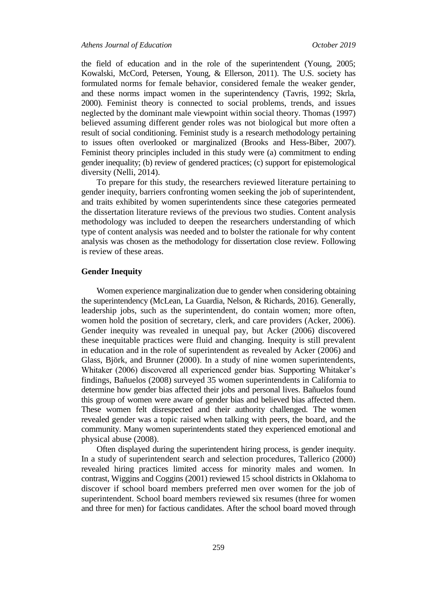the field of education and in the role of the superintendent (Young, 2005; Kowalski, McCord, Petersen, Young, & Ellerson, 2011). The U.S. society has formulated norms for female behavior, considered female the weaker gender, and these norms impact women in the superintendency (Tavris, 1992; Skrla, 2000). Feminist theory is connected to social problems, trends, and issues neglected by the dominant male viewpoint within social theory. Thomas (1997) believed assuming different gender roles was not biological but more often a result of social conditioning. Feminist study is a research methodology pertaining to issues often overlooked or marginalized (Brooks and Hess-Biber, 2007). Feminist theory principles included in this study were (a) commitment to ending gender inequality; (b) review of gendered practices; (c) support for epistemological diversity (Nelli, 2014).

To prepare for this study, the researchers reviewed literature pertaining to gender inequity, barriers confronting women seeking the job of superintendent, and traits exhibited by women superintendents since these categories permeated the dissertation literature reviews of the previous two studies. Content analysis methodology was included to deepen the researchers understanding of which type of content analysis was needed and to bolster the rationale for why content analysis was chosen as the methodology for dissertation close review. Following is review of these areas.

## **Gender Inequity**

Women experience marginalization due to gender when considering obtaining the superintendency (McLean, La Guardia, Nelson, & Richards, 2016). Generally, leadership jobs, such as the superintendent, do contain women; more often, women hold the position of secretary, clerk, and care providers (Acker, 2006). Gender inequity was revealed in unequal pay, but Acker (2006) discovered these inequitable practices were fluid and changing. Inequity is still prevalent in education and in the role of superintendent as revealed by Acker (2006) and Glass, Björk, and Brunner (2000). In a study of nine women superintendents, Whitaker (2006) discovered all experienced gender bias. Supporting Whitaker's findings, Bañuelos (2008) surveyed 35 women superintendents in California to determine how gender bias affected their jobs and personal lives. Bañuelos found this group of women were aware of gender bias and believed bias affected them. These women felt disrespected and their authority challenged. The women revealed gender was a topic raised when talking with peers, the board, and the community. Many women superintendents stated they experienced emotional and physical abuse (2008).

Often displayed during the superintendent hiring process, is gender inequity. In a study of superintendent search and selection procedures, Tallerico (2000) revealed hiring practices limited access for minority males and women. In contrast, Wiggins and Coggins (2001) reviewed 15 school districts in Oklahoma to discover if school board members preferred men over women for the job of superintendent. School board members reviewed six resumes (three for women and three for men) for factious candidates. After the school board moved through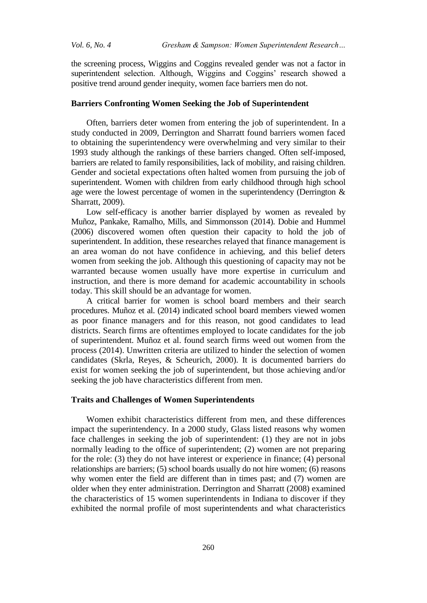the screening process, Wiggins and Coggins revealed gender was not a factor in superintendent selection. Although, Wiggins and Coggins' research showed a positive trend around gender inequity, women face barriers men do not.

## **Barriers Confronting Women Seeking the Job of Superintendent**

Often, barriers deter women from entering the job of superintendent. In a study conducted in 2009, Derrington and Sharratt found barriers women faced to obtaining the superintendency were overwhelming and very similar to their 1993 study although the rankings of these barriers changed. Often self-imposed, barriers are related to family responsibilities, lack of mobility, and raising children. Gender and societal expectations often halted women from pursuing the job of superintendent. Women with children from early childhood through high school age were the lowest percentage of women in the superintendency (Derrington & Sharratt, 2009).

Low self-efficacy is another barrier displayed by women as revealed by Muñoz, Pankake, Ramalho, Mills, and Simmonsson (2014). Dobie and Hummel (2006) discovered women often question their capacity to hold the job of superintendent. In addition, these researches relayed that finance management is an area woman do not have confidence in achieving, and this belief deters women from seeking the job. Although this questioning of capacity may not be warranted because women usually have more expertise in curriculum and instruction, and there is more demand for academic accountability in schools today. This skill should be an advantage for women.

A critical barrier for women is school board members and their search procedures. Muñoz et al. (2014) indicated school board members viewed women as poor finance managers and for this reason, not good candidates to lead districts. Search firms are oftentimes employed to locate candidates for the job of superintendent. Muñoz et al. found search firms weed out women from the process (2014). Unwritten criteria are utilized to hinder the selection of women candidates (Skrla, Reyes, & Scheurich, 2000). It is documented barriers do exist for women seeking the job of superintendent, but those achieving and/or seeking the job have characteristics different from men.

# **Traits and Challenges of Women Superintendents**

Women exhibit characteristics different from men, and these differences impact the superintendency. In a 2000 study, Glass listed reasons why women face challenges in seeking the job of superintendent: (1) they are not in jobs normally leading to the office of superintendent; (2) women are not preparing for the role: (3) they do not have interest or experience in finance; (4) personal relationships are barriers; (5) school boards usually do not hire women; (6) reasons why women enter the field are different than in times past; and (7) women are older when they enter administration. Derrington and Sharratt (2008) examined the characteristics of 15 women superintendents in Indiana to discover if they exhibited the normal profile of most superintendents and what characteristics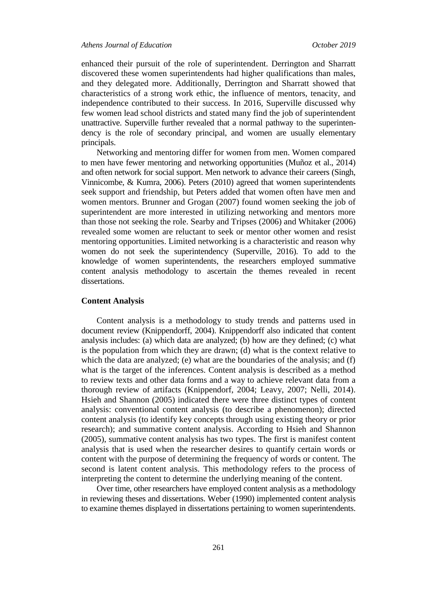enhanced their pursuit of the role of superintendent. Derrington and Sharratt discovered these women superintendents had higher qualifications than males, and they delegated more. Additionally, Derrington and Sharratt showed that characteristics of a strong work ethic, the influence of mentors, tenacity, and independence contributed to their success. In 2016, Superville discussed why few women lead school districts and stated many find the job of superintendent unattractive. Superville further revealed that a normal pathway to the superintendency is the role of secondary principal, and women are usually elementary principals.

Networking and mentoring differ for women from men. Women compared to men have fewer mentoring and networking opportunities (Muñoz et al., 2014) and often network for social support. Men network to advance their careers (Singh, Vinnicombe, & Kumra, 2006). Peters (2010) agreed that women superintendents seek support and friendship, but Peters added that women often have men and women mentors. Brunner and Grogan (2007) found women seeking the job of superintendent are more interested in utilizing networking and mentors more than those not seeking the role. Searby and Tripses (2006) and Whitaker (2006) revealed some women are reluctant to seek or mentor other women and resist mentoring opportunities. Limited networking is a characteristic and reason why women do not seek the superintendency (Superville, 2016). To add to the knowledge of women superintendents, the researchers employed summative content analysis methodology to ascertain the themes revealed in recent dissertations.

## **Content Analysis**

Content analysis is a methodology to study trends and patterns used in document review (Knippendorff, 2004). Knippendorff also indicated that content analysis includes: (a) which data are analyzed; (b) how are they defined; (c) what is the population from which they are drawn; (d) what is the context relative to which the data are analyzed; (e) what are the boundaries of the analysis; and (f) what is the target of the inferences. Content analysis is described as a method to review texts and other data forms and a way to achieve relevant data from a thorough review of artifacts (Knippendorf, 2004; Leavy, 2007; Nelli, 2014). Hsieh and Shannon (2005) indicated there were three distinct types of content analysis: conventional content analysis (to describe a phenomenon); directed content analysis (to identify key concepts through using existing theory or prior research); and summative content analysis. According to Hsieh and Shannon (2005), summative content analysis has two types. The first is manifest content analysis that is used when the researcher desires to quantify certain words or content with the purpose of determining the frequency of words or content. The second is latent content analysis. This methodology refers to the process of interpreting the content to determine the underlying meaning of the content.

Over time, other researchers have employed content analysis as a methodology in reviewing theses and dissertations. Weber (1990) implemented content analysis to examine themes displayed in dissertations pertaining to women superintendents.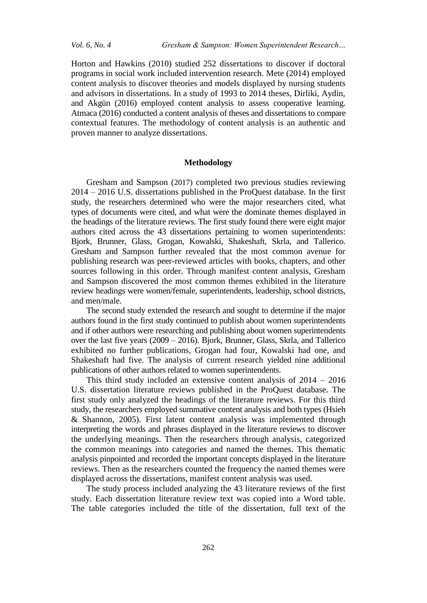*Vol. 6, No. 4 Gresham & Sampson: Women Superintendent Research…*

Horton and Hawkins (2010) studied 252 dissertations to discover if doctoral programs in social work included intervention research. Mete (2014) employed content analysis to discover theories and models displayed by nursing students and advisors in dissertations. In a study of 1993 to 2014 theses, Dirliki, Aydin, and Akgün (2016) employed content analysis to assess cooperative learning. Atmaca (2016) conducted a content analysis of theses and dissertations to compare contextual features. The methodology of content analysis is an authentic and proven manner to analyze dissertations.

## **Methodology**

Gresham and Sampson (2017) completed two previous studies reviewing 2014 – 2016 U.S. dissertations published in the ProQuest database. In the first study, the researchers determined who were the major researchers cited, what types of documents were cited, and what were the dominate themes displayed in the headings of the literature reviews. The first study found there were eight major authors cited across the 43 dissertations pertaining to women superintendents: Bjork, Brunner, Glass, Grogan, Kowalski, Shakeshaft, Skrla, and Tallerico. Gresham and Sampson further revealed that the most common avenue for publishing research was peer-reviewed articles with books, chapters, and other sources following in this order. Through manifest content analysis, Gresham and Sampson discovered the most common themes exhibited in the literature review headings were women/female, superintendents, leadership, school districts, and men/male.

The second study extended the research and sought to determine if the major authors found in the first study continued to publish about women superintendents and if other authors were researching and publishing about women superintendents over the last five years (2009 – 2016). Bjork, Brunner, Glass, Skrla, and Tallerico exhibited no further publications, Grogan had four, Kowalski had one, and Shakeshaft had five. The analysis of current research yielded nine additional publications of other authors related to women superintendents.

This third study included an extensive content analysis of 2014 – 2016 U.S. dissertation literature reviews published in the ProQuest database. The first study only analyzed the headings of the literature reviews. For this third study, the researchers employed summative content analysis and both types (Hsieh & Shannon, 2005). First latent content analysis was implemented through interpreting the words and phrases displayed in the literature reviews to discover the underlying meanings. Then the researchers through analysis, categorized the common meanings into categories and named the themes. This thematic analysis pinpointed and recorded the important concepts displayed in the literature reviews. Then as the researchers counted the frequency the named themes were displayed across the dissertations, manifest content analysis was used.

The study process included analyzing the 43 literature reviews of the first study. Each dissertation literature review text was copied into a Word table. The table categories included the title of the dissertation, full text of the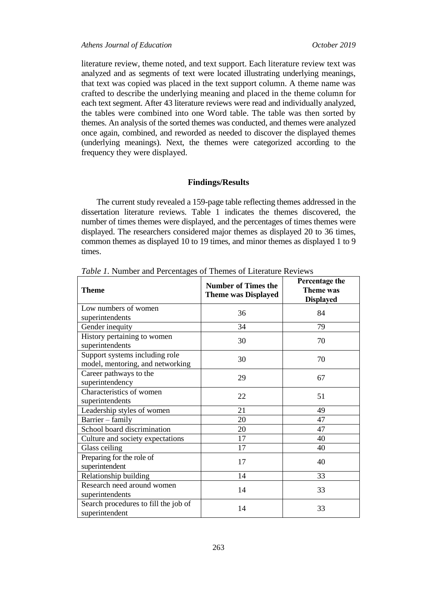literature review, theme noted, and text support. Each literature review text was analyzed and as segments of text were located illustrating underlying meanings, that text was copied was placed in the text support column. A theme name was crafted to describe the underlying meaning and placed in the theme column for each text segment. After 43 literature reviews were read and individually analyzed, the tables were combined into one Word table. The table was then sorted by themes. An analysis of the sorted themes was conducted, and themes were analyzed once again, combined, and reworded as needed to discover the displayed themes (underlying meanings). Next, the themes were categorized according to the frequency they were displayed.

### **Findings/Results**

The current study revealed a 159-page table reflecting themes addressed in the dissertation literature reviews. Table 1 indicates the themes discovered, the number of times themes were displayed, and the percentages of times themes were displayed. The researchers considered major themes as displayed 20 to 36 times, common themes as displayed 10 to 19 times, and minor themes as displayed 1 to 9 times.

| <b>Theme</b>                                                       | <b>Number of Times the</b><br><b>Theme was Displayed</b> | Percentage the<br><b>Theme</b> was<br><b>Displayed</b> |
|--------------------------------------------------------------------|----------------------------------------------------------|--------------------------------------------------------|
| Low numbers of women                                               | 36                                                       | 84                                                     |
| superintendents                                                    |                                                          |                                                        |
| Gender inequity                                                    | 34                                                       | 79                                                     |
| History pertaining to women<br>superintendents                     | 30                                                       | 70                                                     |
| Support systems including role<br>model, mentoring, and networking | 30                                                       | 70                                                     |
| Career pathways to the<br>superintendency                          | 29                                                       | 67                                                     |
| Characteristics of women<br>superintendents                        | 22                                                       | 51                                                     |
| Leadership styles of women                                         | 21                                                       | 49                                                     |
| Barrier - family                                                   | 20                                                       | 47                                                     |
| School board discrimination                                        | 20                                                       | 47                                                     |
| Culture and society expectations                                   | 17                                                       | 40                                                     |
| Glass ceiling                                                      | 17                                                       | 40                                                     |
| Preparing for the role of<br>superintendent                        | 17                                                       | 40                                                     |
| Relationship building                                              | 14                                                       | 33                                                     |
| Research need around women<br>superintendents                      | 14                                                       | 33                                                     |
| Search procedures to fill the job of<br>superintendent             | 14                                                       | 33                                                     |

*Table 1.* Number and Percentages of Themes of Literature Reviews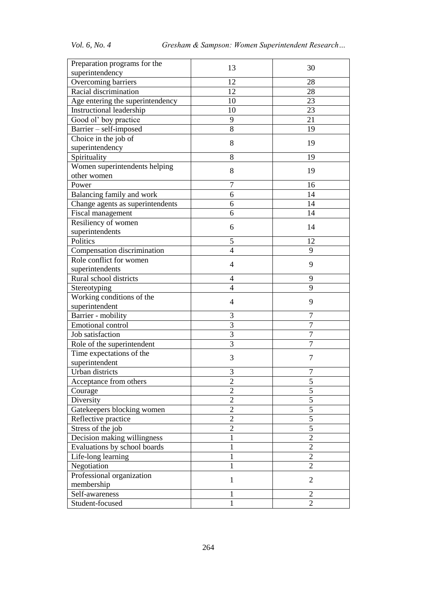| Preparation programs for the     | 13             | 30             |
|----------------------------------|----------------|----------------|
| superintendency                  |                |                |
| Overcoming barriers              | 12             | 28             |
| Racial discrimination            | 12             | 28             |
| Age entering the superintendency | 10             | 23             |
| Instructional leadership         | 10             | 23             |
| Good ol' boy practice            | 9              | 21             |
| Barrier - self-imposed           | 8              | 19             |
| Choice in the job of             |                |                |
| superintendency                  | 8              | 19             |
| Spirituality                     | 8              | 19             |
| Women superintendents helping    |                |                |
| other women                      | 8              | 19             |
| Power                            | 7              | 16             |
| Balancing family and work        | 6              | 14             |
| Change agents as superintendents | 6              | 14             |
| Fiscal management                | 6              | 14             |
| Resiliency of women              |                |                |
| superintendents                  | 6              | 14             |
| Politics                         | 5              | 12             |
| Compensation discrimination      | $\overline{4}$ | 9              |
| Role conflict for women          |                |                |
| superintendents                  | $\overline{4}$ | 9              |
| Rural school districts           | 4              | 9              |
| Stereotyping                     | 4              | 9              |
| Working conditions of the        |                |                |
| superintendent                   | $\overline{4}$ | 9              |
| Barrier - mobility               | 3              | 7              |
| Emotional control                | 3              | $\overline{7}$ |
| Job satisfaction                 | 3              | $\overline{7}$ |
| Role of the superintendent       | $\overline{3}$ | $\overline{7}$ |
| Time expectations of the         |                |                |
| superintendent                   | 3              | 7              |
| Urban districts                  | 3              | 7              |
| Acceptance from others           | $\overline{c}$ | $\overline{5}$ |
| Courage                          | $\overline{2}$ | $\overline{5}$ |
| Diversity                        | $\overline{2}$ | 5              |
| Gatekeepers blocking women       | $\overline{2}$ | $\overline{5}$ |
| Reflective practice              | $\overline{2}$ | $\overline{5}$ |
| Stress of the job                | $\overline{2}$ | $\overline{5}$ |
| Decision making willingness      | 1              | $\overline{2}$ |
| Evaluations by school boards     | 1              | $\overline{2}$ |
| Life-long learning               |                | $\overline{2}$ |
| Negotiation                      | 1              | $\overline{2}$ |
| Professional organization        |                |                |
| membership                       | $\mathbf{1}$   | $\overline{2}$ |
| Self-awareness                   | 1              | $\overline{2}$ |
| Student-focused                  | 1              | $\overline{2}$ |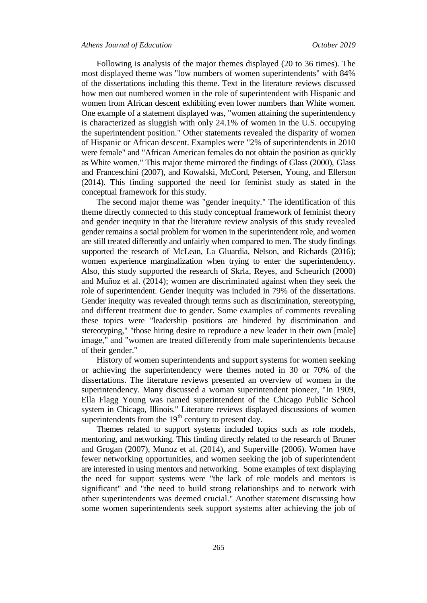Following is analysis of the major themes displayed (20 to 36 times). The most displayed theme was "low numbers of women superintendents" with 84% of the dissertations including this theme. Text in the literature reviews discussed how men out numbered women in the role of superintendent with Hispanic and women from African descent exhibiting even lower numbers than White women. One example of a statement displayed was, "women attaining the superintendency is characterized as sluggish with only 24.1% of women in the U.S. occupying the superintendent position." Other statements revealed the disparity of women of Hispanic or African descent. Examples were "2% of superintendents in 2010 were female" and "African American females do not obtain the position as quickly as White women." This major theme mirrored the findings of Glass (2000), Glass and Franceschini (2007), and Kowalski, McCord, Petersen, Young, and Ellerson (2014). This finding supported the need for feminist study as stated in the conceptual framework for this study.

The second major theme was "gender inequity." The identification of this theme directly connected to this study conceptual framework of feminist theory and gender inequity in that the literature review analysis of this study revealed gender remains a social problem for women in the superintendent role, and women are still treated differently and unfairly when compared to men. The study findings supported the research of McLean, La Gluardia, Nelson, and Richards (2016); women experience marginalization when trying to enter the superintendency. Also, this study supported the research of Skrla, Reyes, and Scheurich (2000) and Muñoz et al. (2014); women are discriminated against when they seek the role of superintendent. Gender inequity was included in 79% of the dissertations. Gender inequity was revealed through terms such as discrimination, stereotyping, and different treatment due to gender. Some examples of comments revealing these topics were "leadership positions are hindered by discrimination and stereotyping," "those hiring desire to reproduce a new leader in their own [male] image," and "women are treated differently from male superintendents because of their gender."

History of women superintendents and support systems for women seeking or achieving the superintendency were themes noted in 30 or 70% of the dissertations. The literature reviews presented an overview of women in the superintendency. Many discussed a woman superintendent pioneer, "In 1909, Ella Flagg Young was named superintendent of the Chicago Public School system in Chicago, Illinois." Literature reviews displayed discussions of women superintendents from the  $19<sup>th</sup>$  century to present day.

Themes related to support systems included topics such as role models, mentoring, and networking. This finding directly related to the research of Bruner and Grogan (2007), Munoz et al. (2014), and Superville (2006). Women have fewer networking opportunities, and women seeking the job of superintendent are interested in using mentors and networking. Some examples of text displaying the need for support systems were "the lack of role models and mentors is significant" and "the need to build strong relationships and to network with other superintendents was deemed crucial." Another statement discussing how some women superintendents seek support systems after achieving the job of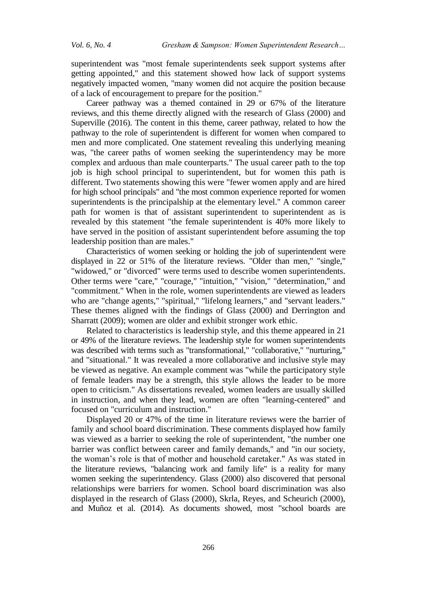superintendent was "most female superintendents seek support systems after getting appointed," and this statement showed how lack of support systems negatively impacted women, "many women did not acquire the position because of a lack of encouragement to prepare for the position."

Career pathway was a themed contained in 29 or 67% of the literature reviews, and this theme directly aligned with the research of Glass (2000) and Superville (2016). The content in this theme, career pathway, related to how the pathway to the role of superintendent is different for women when compared to men and more complicated. One statement revealing this underlying meaning was, "the career paths of women seeking the superintendency may be more complex and arduous than male counterparts." The usual career path to the top job is high school principal to superintendent, but for women this path is different. Two statements showing this were "fewer women apply and are hired for high school principals" and "the most common experience reported for women superintendents is the principalship at the elementary level." A common career path for women is that of assistant superintendent to superintendent as is revealed by this statement "the female superintendent is 40% more likely to have served in the position of assistant superintendent before assuming the top leadership position than are males."

Characteristics of women seeking or holding the job of superintendent were displayed in 22 or 51% of the literature reviews. "Older than men," "single," "widowed," or "divorced" were terms used to describe women superintendents. Other terms were "care," "courage," "intuition," "vision," "determination," and "commitment." When in the role, women superintendents are viewed as leaders who are "change agents," "spiritual," "lifelong learners," and "servant leaders." These themes aligned with the findings of Glass (2000) and Derrington and Sharratt (2009); women are older and exhibit stronger work ethic.

Related to characteristics is leadership style, and this theme appeared in 21 or 49% of the literature reviews. The leadership style for women superintendents was described with terms such as "transformational," "collaborative," "nurturing," and "situational." It was revealed a more collaborative and inclusive style may be viewed as negative. An example comment was "while the participatory style of female leaders may be a strength, this style allows the leader to be more open to criticism." As dissertations revealed, women leaders are usually skilled in instruction, and when they lead, women are often "learning-centered" and focused on "curriculum and instruction."

Displayed 20 or 47% of the time in literature reviews were the barrier of family and school board discrimination. These comments displayed how family was viewed as a barrier to seeking the role of superintendent, "the number one barrier was conflict between career and family demands," and "in our society, the woman's role is that of mother and household caretaker." As was stated in the literature reviews, "balancing work and family life" is a reality for many women seeking the superintendency. Glass (2000) also discovered that personal relationships were barriers for women. School board discrimination was also displayed in the research of Glass (2000), Skrla, Reyes, and Scheurich (2000), and Muñoz et al. (2014). As documents showed, most "school boards are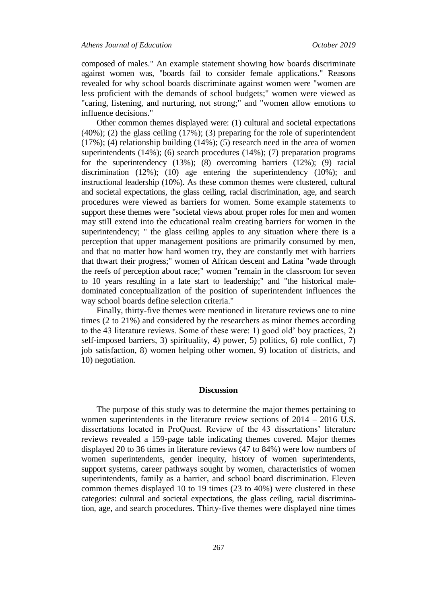composed of males." An example statement showing how boards discriminate against women was, "boards fail to consider female applications." Reasons revealed for why school boards discriminate against women were "women are less proficient with the demands of school budgets;" women were viewed as "caring, listening, and nurturing, not strong;" and "women allow emotions to influence decisions."

Other common themes displayed were: (1) cultural and societal expectations (40%); (2) the glass ceiling (17%); (3) preparing for the role of superintendent (17%); (4) relationship building (14%); (5) research need in the area of women superintendents (14%); (6) search procedures (14%); (7) preparation programs for the superintendency (13%); (8) overcoming barriers (12%); (9) racial discrimination (12%); (10) age entering the superintendency (10%); and instructional leadership (10%). As these common themes were clustered, cultural and societal expectations, the glass ceiling, racial discrimination, age, and search procedures were viewed as barriers for women. Some example statements to support these themes were "societal views about proper roles for men and women may still extend into the educational realm creating barriers for women in the superintendency; " the glass ceiling apples to any situation where there is a perception that upper management positions are primarily consumed by men, and that no matter how hard women try, they are constantly met with barriers that thwart their progress;" women of African descent and Latina "wade through the reefs of perception about race;" women "remain in the classroom for seven to 10 years resulting in a late start to leadership;" and "the historical maledominated conceptualization of the position of superintendent influences the way school boards define selection criteria."

Finally, thirty-five themes were mentioned in literature reviews one to nine times (2 to 21%) and considered by the researchers as minor themes according to the 43 literature reviews. Some of these were: 1) good old' boy practices, 2) self-imposed barriers, 3) spirituality, 4) power, 5) politics, 6) role conflict, 7) job satisfaction, 8) women helping other women, 9) location of districts, and 10) negotiation.

#### **Discussion**

The purpose of this study was to determine the major themes pertaining to women superintendents in the literature review sections of 2014 – 2016 U.S. dissertations located in ProQuest. Review of the 43 dissertations' literature reviews revealed a 159-page table indicating themes covered. Major themes displayed 20 to 36 times in literature reviews (47 to 84%) were low numbers of women superintendents, gender inequity, history of women superintendents, support systems, career pathways sought by women, characteristics of women superintendents, family as a barrier, and school board discrimination. Eleven common themes displayed 10 to 19 times (23 to 40%) were clustered in these categories: cultural and societal expectations, the glass ceiling, racial discrimination, age, and search procedures. Thirty-five themes were displayed nine times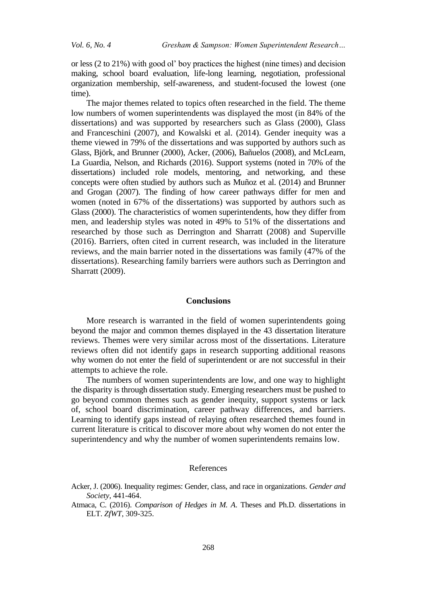or less (2 to 21%) with good ol' boy practices the highest (nine times) and decision making, school board evaluation, life-long learning, negotiation, professional organization membership, self-awareness, and student-focused the lowest (one time).

The major themes related to topics often researched in the field. The theme low numbers of women superintendents was displayed the most (in 84% of the dissertations) and was supported by researchers such as Glass (2000), Glass and Franceschini (2007), and Kowalski et al. (2014). Gender inequity was a theme viewed in 79% of the dissertations and was supported by authors such as Glass, Björk, and Brunner (2000), Acker, (2006), Bañuelos (2008), and McLearn, La Guardia, Nelson, and Richards (2016). Support systems (noted in 70% of the dissertations) included role models, mentoring, and networking, and these concepts were often studied by authors such as Muñoz et al. (2014) and Brunner and Grogan (2007). The finding of how career pathways differ for men and women (noted in 67% of the dissertations) was supported by authors such as Glass (2000). The characteristics of women superintendents, how they differ from men, and leadership styles was noted in 49% to 51% of the dissertations and researched by those such as Derrington and Sharratt (2008) and Superville (2016). Barriers, often cited in current research, was included in the literature reviews, and the main barrier noted in the dissertations was family (47% of the dissertations). Researching family barriers were authors such as Derrington and Sharratt (2009).

## **Conclusions**

More research is warranted in the field of women superintendents going beyond the major and common themes displayed in the 43 dissertation literature reviews. Themes were very similar across most of the dissertations. Literature reviews often did not identify gaps in research supporting additional reasons why women do not enter the field of superintendent or are not successful in their attempts to achieve the role.

The numbers of women superintendents are low, and one way to highlight the disparity is through dissertation study. Emerging researchers must be pushed to go beyond common themes such as gender inequity, support systems or lack of, school board discrimination, career pathway differences, and barriers. Learning to identify gaps instead of relaying often researched themes found in current literature is critical to discover more about why women do not enter the superintendency and why the number of women superintendents remains low.

#### References

Acker, J. (2006). Inequality regimes: Gender, class, and race in organizations. *Gender and Society*, 441-464.

Atmaca, C. (2016). *Comparison of Hedges in M. A*. Theses and Ph.D. dissertations in ELT. *ZfWT*, 309-325.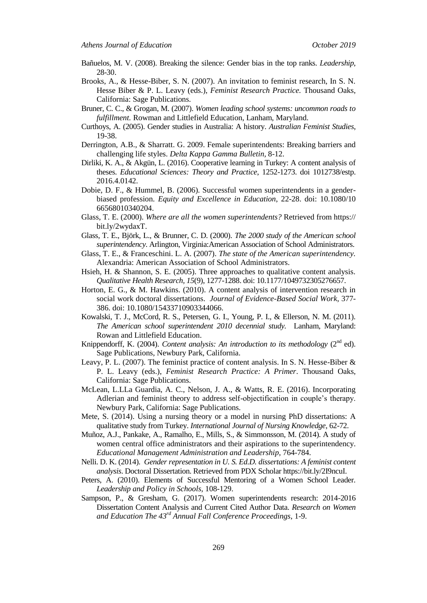- Bañuelos, M. V. (2008). Breaking the silence: Gender bias in the top ranks. *Leadership*, 28-30.
- Brooks, A., & Hesse-Biber, S. N. (2007). An invitation to feminist research, In S. N. Hesse Biber & P. L. Leavy (eds.), *Feminist Research Practice.* Thousand Oaks, California: Sage Publications.
- Bruner, C. C., & Grogan, M. (2007). *Women leading school systems: uncommon roads to fulfillment.* Rowman and Littlefield Education, Lanham, Maryland.
- Curthoys, A. (2005). Gender studies in Australia: A history. *Australian Feminist Studies*, 19-38.
- Derrington, A.B., & Sharratt. G. 2009. Female superintendents: Breaking barriers and challenging life styles. *Delta Kappa Gamma Bulletin,* 8-12.
- Dirliki, K. A., & Akgün, L. (2016). Cooperative learning in Turkey: A content analysis of theses. *Educational Sciences: Theory and Practice*, 1252-1273. doi 1012738/estp. 2016.4.0142.
- Dobie, D. F., & Hummel, B. (2006). Successful women superintendents in a genderbiased profession. *Equity and Excellence in Education*, 22-28. doi: 10.1080/10 66568010340204.
- Glass, T. E. (2000). *Where are all the women superintendents?* Retrieved from https:// bit.ly/2wydaxT.
- Glass, T. E., Björk, L., & Brunner, C. D. (2000). *The 2000 study of the American school superintendency*. Arlington, Virginia:American Association of School Administrators.
- Glass, T. E., & Franceschini. L. A. (2007). *The state of the American superintendency.*  Alexandria: American Association of School Administrators.
- Hsieh, H. & Shannon, S. E. (2005). Three approaches to qualitative content analysis. *Qualitative Health Research, 15*(9), 1277-1288. doi: 10.1177/1049732305276657.
- Horton, E. G., & M. Hawkins. (2010). A content analysis of intervention research in social work doctoral dissertations. *Journal of Evidence-Based Social Work*, 377- 386. doi: 10.1080/15433710903344066.
- Kowalski, T. J., McCord, R. S., Petersen, G. I., Young, P. I., & Ellerson, N. M. (2011). *The American school superintendent 2010 decennial study.* Lanham, Maryland: Rowan and Littlefield Education.
- Knippendorff, K. (2004). *Content analysis: An introduction to its methodology* (2<sup>nd</sup> ed). Sage Publications, Newbury Park, California.
- Leavy, P. L. (2007). The feminist practice of content analysis. In S. N. Hesse-Biber & P. L. Leavy (eds.), *Feminist Research Practice: A Primer*. Thousand Oaks, California: Sage Publications.
- McLean, L.LLa Guardia, A. C., Nelson, J. A., & Watts, R. E. (2016). Incorporating Adlerian and feminist theory to address self-objectification in couple's therapy. Newbury Park, California: Sage Publications.
- Mete, S. (2014). Using a nursing theory or a model in nursing PhD dissertations: A qualitative study from Turkey. *International Journal of Nursing Knowledge*, 62-72.
- Muñoz, A.J., Pankake, A., Ramalho, E., Mills, S., & Simmonsson, M. (2014). A study of women central office administrators and their aspirations to the superintendency. *Educational Management Administration and Leadership,* 764-784.
- Nelli. D. K. (2014). *Gender representation in U. S. Ed.D. dissertations: A feminist content analysis*. Doctoral Dissertation. Retrieved from PDX Scholar [https://bit.ly/2](https://bit.ly/)I9ncuI.
- Peters, A. (2010). Elements of Successful Mentoring of a Women School Leader. *Leadership and Policy in Schools,* 108-129.
- Sampson, P., & Gresham, G. (2017). Women superintendents research: 2014-2016 Dissertation Content Analysis and Current Cited Author Data. *Research on Women and Education The 43rd Annual Fall Conference Proceedings*, 1-9.